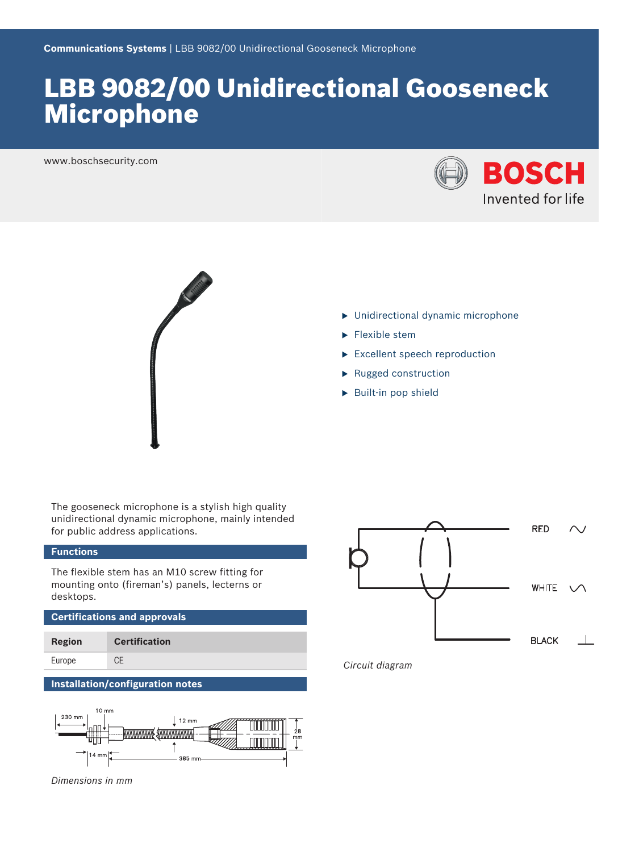# LBB 9082/00 Unidirectional Gooseneck Microphone

www.boschsecurity.com





- $\blacktriangleright$  Unidirectional dynamic microphone
- $\blacktriangleright$  Flexible stem
- $\blacktriangleright$  Excellent speech reproduction
- $\blacktriangleright$  Rugged construction
- $\blacktriangleright$  Built-in pop shield

The gooseneck microphone is a stylish high quality unidirectional dynamic microphone, mainly intended for public address applications.

# **Functions**

The flexible stem has an M10 screw fitting for mounting onto (fireman's) panels, lecterns or desktops.

**Certifications and approvals**

| Region | <b>Certification</b> |
|--------|----------------------|
| Europe | CE                   |

# **Installation/configuration notes**



*Dimensions in mm*



*Circuit diagram*